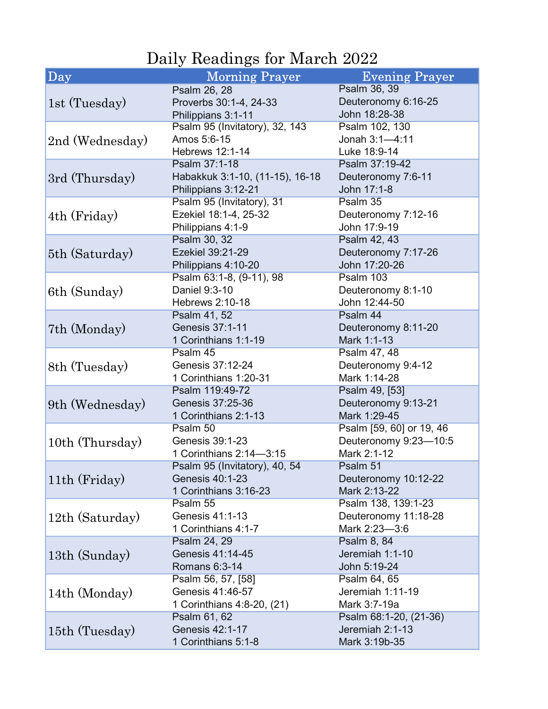## Daily Readings for March 2022

| $ $ Day                          | <b>Morning Prayer</b>           | <b>Evening Prayer</b>    |
|----------------------------------|---------------------------------|--------------------------|
| 1st (Tuesday)                    | Psalm 26, 28                    | Psalm 36, 39             |
|                                  | Proverbs 30:1-4, 24-33          | Deuteronomy 6:16-25      |
|                                  | Philippians 3:1-11              | John 18:28-38            |
| 2nd (Wednesday)                  | Psalm 95 (Invitatory), 32, 143  | Psalm 102, 130           |
|                                  | Amos 5:6-15                     | Jonah 3:1-4:11           |
|                                  | <b>Hebrews 12:1-14</b>          | Luke 18:9-14             |
| 3rd (Thursday)                   | Psalm 37:1-18                   | Psalm 37:19-42           |
|                                  | Habakkuk 3:1-10, (11-15), 16-18 | Deuteronomy 7:6-11       |
|                                  | Philippians 3:12-21             | John 17:1-8              |
| 4th (Friday)                     | Psalm 95 (Invitatory), 31       | Psalm 35                 |
|                                  | Ezekiel 18:1-4, 25-32           | Deuteronomy 7:12-16      |
|                                  | Philippians 4:1-9               | John 17:9-19             |
| 5th (Saturday)                   | Psalm 30, 32                    | Psalm 42, 43             |
|                                  | Ezekiel 39:21-29                | Deuteronomy 7:17-26      |
|                                  | Philippians 4:10-20             | John 17:20-26            |
|                                  | Psalm 63:1-8, (9-11), 98        | Psalm 103                |
| 6th (Sunday)                     | Daniel 9:3-10                   | Deuteronomy 8:1-10       |
|                                  | <b>Hebrews 2:10-18</b>          | John 12:44-50            |
|                                  | Psalm 41, 52                    | Psalm 44                 |
| 7th (Monday)                     | Genesis 37:1-11                 | Deuteronomy 8:11-20      |
|                                  | 1 Corinthians 1:1-19            | Mark 1:1-13              |
|                                  | Psalm 45                        | Psalm 47, 48             |
| 8th (Tuesday)                    | Genesis 37:12-24                | Deuteronomy 9:4-12       |
|                                  | 1 Corinthians 1:20-31           | Mark 1:14-28             |
|                                  | Psalm 119:49-72                 | Psalm 49, [53]           |
| 9th (Wednesday)                  | Genesis 37:25-36                | Deuteronomy 9:13-21      |
|                                  | 1 Corinthians 2:1-13            | Mark 1:29-45             |
| 10th (Thursday)<br>11th (Friday) | Psalm 50                        | Psalm [59, 60] or 19, 46 |
|                                  | Genesis 39:1-23                 | Deuteronomy 9:23-10:5    |
|                                  | 1 Corinthians 2:14-3:15         | Mark 2:1-12              |
|                                  | Psalm 95 (Invitatory), 40, 54   | Psalm 51                 |
|                                  | Genesis 40:1-23                 | Deuteronomy 10:12-22     |
|                                  | 1 Corinthians 3:16-23           | Mark 2:13-22             |
|                                  | Psalm 55                        | Psalm 138, 139:1-23      |
| 12th (Saturday)                  | Genesis 41:1-13                 | Deuteronomy 11:18-28     |
|                                  | 1 Corinthians 4:1-7             | Mark 2:23-3:6            |
|                                  | Psalm 24, 29                    | Psalm 8, 84              |
| 13th (Sunday)                    | Genesis 41:14-45                | Jeremiah 1:1-10          |
|                                  | Romans 6:3-14                   | John 5:19-24             |
|                                  | Psalm 56, 57, [58]              | Psalm 64, 65             |
| 14th (Monday)                    | Genesis 41:46-57                | Jeremiah 1:11-19         |
|                                  | 1 Corinthians 4:8-20, (21)      | Mark 3:7-19a             |
|                                  | Psalm 61, 62                    | Psalm 68:1-20, (21-36)   |
| 15th (Tuesday)                   | Genesis 42:1-17                 | Jeremiah 2:1-13          |
|                                  | 1 Corinthians 5:1-8             | Mark 3:19b-35            |
|                                  |                                 |                          |